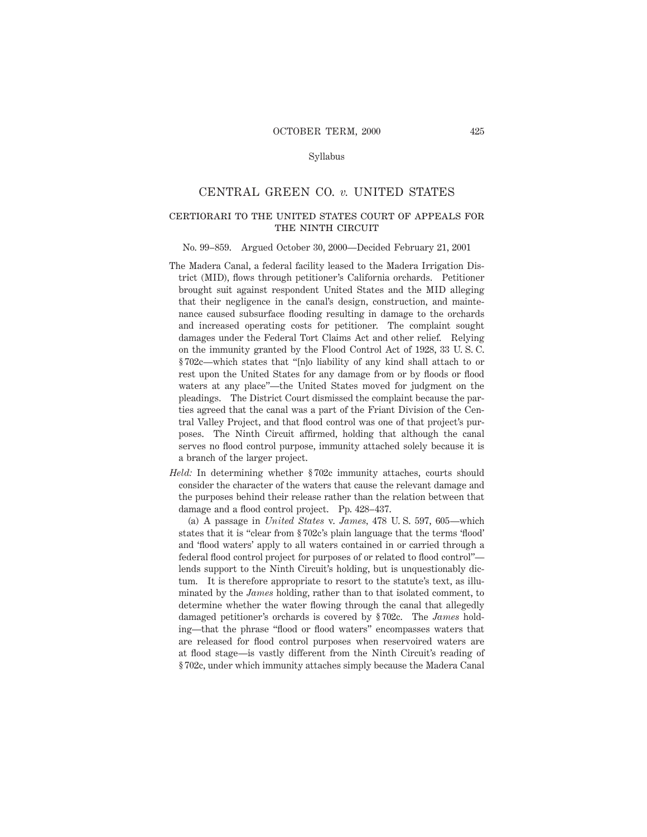### Syllabus

## CENTRAL GREEN CO. *v.* UNITED STATES

# certiorari to the united states court of appeals for THE NINTH CIRCUIT

#### No. 99–859. Argued October 30, 2000—Decided February 21, 2001

- The Madera Canal, a federal facility leased to the Madera Irrigation District (MID), flows through petitioner's California orchards. Petitioner brought suit against respondent United States and the MID alleging that their negligence in the canal's design, construction, and maintenance caused subsurface flooding resulting in damage to the orchards and increased operating costs for petitioner. The complaint sought damages under the Federal Tort Claims Act and other relief. Relying on the immunity granted by the Flood Control Act of 1928, 33 U. S. C. § 702c—which states that "[n]o liability of any kind shall attach to or rest upon the United States for any damage from or by floods or flood waters at any place"—the United States moved for judgment on the pleadings. The District Court dismissed the complaint because the parties agreed that the canal was a part of the Friant Division of the Central Valley Project, and that flood control was one of that project's purposes. The Ninth Circuit affirmed, holding that although the canal serves no flood control purpose, immunity attached solely because it is a branch of the larger project.
- *Held:* In determining whether § 702c immunity attaches, courts should consider the character of the waters that cause the relevant damage and the purposes behind their release rather than the relation between that damage and a flood control project. Pp. 428–437.

(a) A passage in *United States* v. *James,* 478 U. S. 597, 605—which states that it is "clear from § 702c's plain language that the terms 'flood' and 'flood waters' apply to all waters contained in or carried through a federal flood control project for purposes of or related to flood control" lends support to the Ninth Circuit's holding, but is unquestionably dictum. It is therefore appropriate to resort to the statute's text, as illuminated by the *James* holding, rather than to that isolated comment, to determine whether the water flowing through the canal that allegedly damaged petitioner's orchards is covered by § 702c. The *James* holding—that the phrase "flood or flood waters" encompasses waters that are released for flood control purposes when reservoired waters are at flood stage—is vastly different from the Ninth Circuit's reading of § 702c, under which immunity attaches simply because the Madera Canal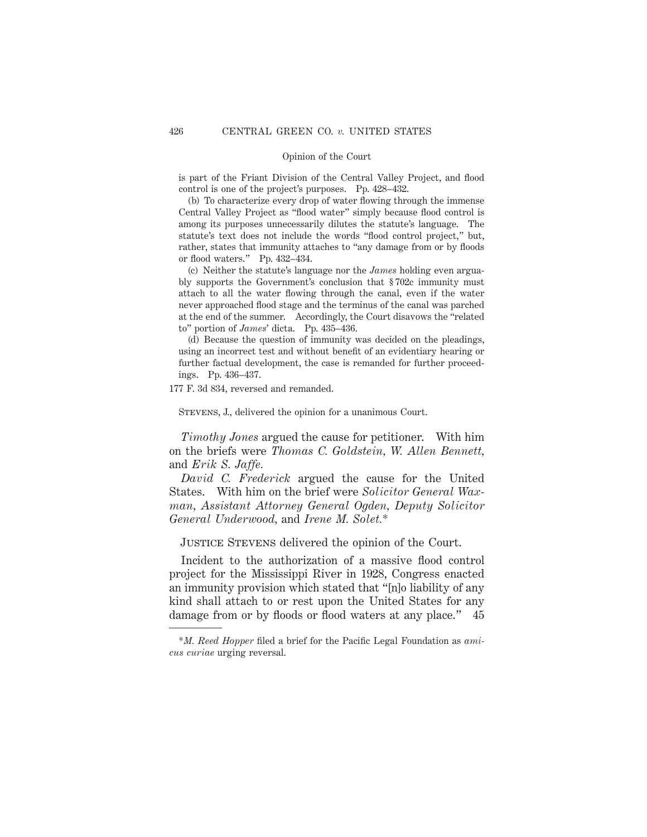is part of the Friant Division of the Central Valley Project, and flood control is one of the project's purposes. Pp. 428–432.

(b) To characterize every drop of water flowing through the immense Central Valley Project as "flood water" simply because flood control is among its purposes unnecessarily dilutes the statute's language. The statute's text does not include the words "flood control project," but, rather, states that immunity attaches to "any damage from or by floods or flood waters." Pp. 432–434.

(c) Neither the statute's language nor the *James* holding even arguably supports the Government's conclusion that § 702c immunity must attach to all the water flowing through the canal, even if the water never approached flood stage and the terminus of the canal was parched at the end of the summer. Accordingly, the Court disavows the "related to" portion of *James*' dicta. Pp. 435–436.

(d) Because the question of immunity was decided on the pleadings, using an incorrect test and without benefit of an evidentiary hearing or further factual development, the case is remanded for further proceedings. Pp. 436–437.

177 F. 3d 834, reversed and remanded.

Stevens, J., delivered the opinion for a unanimous Court.

*Timothy Jones* argued the cause for petitioner. With him on the briefs were *Thomas C. Goldstein, W. Allen Bennett,* and *Erik S. Jaffe.*

*David C. Frederick* argued the cause for the United States. With him on the brief were *Solicitor General Waxman, Assistant Attorney General Ogden, Deputy Solicitor General Underwood,* and *Irene M. Solet.*\*

Justice Stevens delivered the opinion of the Court.

Incident to the authorization of a massive flood control project for the Mississippi River in 1928, Congress enacted an immunity provision which stated that "[n]o liability of any kind shall attach to or rest upon the United States for any damage from or by floods or flood waters at any place." 45

<sup>\*</sup>*M. Reed Hopper* filed a brief for the Pacific Legal Foundation as *amicus curiae* urging reversal.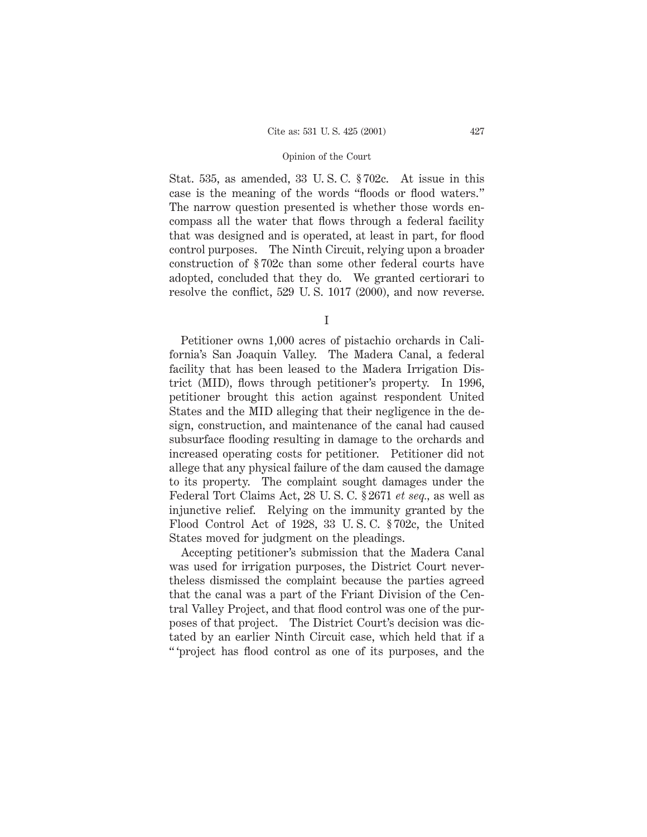Stat. 535, as amended, 33 U. S. C. § 702c. At issue in this case is the meaning of the words "floods or flood waters." The narrow question presented is whether those words encompass all the water that flows through a federal facility that was designed and is operated, at least in part, for flood control purposes. The Ninth Circuit, relying upon a broader construction of § 702c than some other federal courts have adopted, concluded that they do. We granted certiorari to resolve the conflict, 529 U. S. 1017 (2000), and now reverse.

I

Petitioner owns 1,000 acres of pistachio orchards in California's San Joaquin Valley. The Madera Canal, a federal facility that has been leased to the Madera Irrigation District (MID), flows through petitioner's property. In 1996, petitioner brought this action against respondent United States and the MID alleging that their negligence in the design, construction, and maintenance of the canal had caused subsurface flooding resulting in damage to the orchards and increased operating costs for petitioner. Petitioner did not allege that any physical failure of the dam caused the damage to its property. The complaint sought damages under the Federal Tort Claims Act, 28 U. S. C. § 2671 *et seq.,* as well as injunctive relief. Relying on the immunity granted by the Flood Control Act of 1928, 33 U. S. C. § 702c, the United States moved for judgment on the pleadings.

Accepting petitioner's submission that the Madera Canal was used for irrigation purposes, the District Court nevertheless dismissed the complaint because the parties agreed that the canal was a part of the Friant Division of the Central Valley Project, and that flood control was one of the purposes of that project. The District Court's decision was dictated by an earlier Ninth Circuit case, which held that if a " 'project has flood control as one of its purposes, and the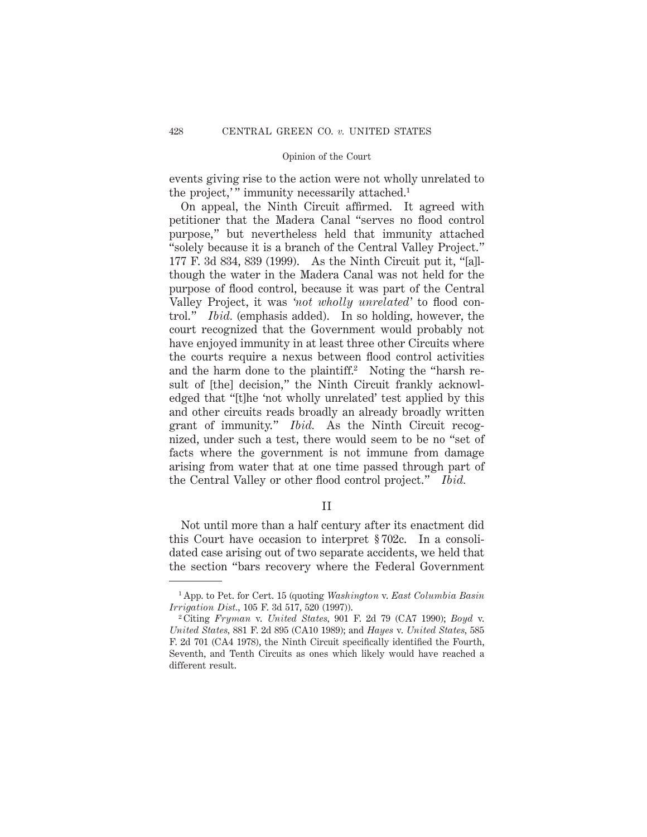events giving rise to the action were not wholly unrelated to the project," immunity necessarily attached.<sup>1</sup>

On appeal, the Ninth Circuit affirmed. It agreed with petitioner that the Madera Canal "serves no flood control purpose," but nevertheless held that immunity attached "solely because it is a branch of the Central Valley Project." 177 F. 3d 834, 839 (1999). As the Ninth Circuit put it, "[a]lthough the water in the Madera Canal was not held for the purpose of flood control, because it was part of the Central Valley Project, it was *'not wholly unrelated'* to flood control." *Ibid.* (emphasis added). In so holding, however, the court recognized that the Government would probably not have enjoyed immunity in at least three other Circuits where the courts require a nexus between flood control activities and the harm done to the plaintiff.<sup>2</sup> Noting the "harsh result of [the] decision," the Ninth Circuit frankly acknowledged that "[t]he 'not wholly unrelated' test applied by this and other circuits reads broadly an already broadly written grant of immunity." *Ibid.* As the Ninth Circuit recognized, under such a test, there would seem to be no "set of facts where the government is not immune from damage arising from water that at one time passed through part of the Central Valley or other flood control project." *Ibid.*

### II

Not until more than a half century after its enactment did this Court have occasion to interpret § 702c. In a consolidated case arising out of two separate accidents, we held that the section "bars recovery where the Federal Government

<sup>1</sup> App. to Pet. for Cert. 15 (quoting *Washington* v. *East Columbia Basin Irrigation Dist.,* 105 F. 3d 517, 520 (1997)).

<sup>2</sup> Citing *Fryman* v. *United States,* 901 F. 2d 79 (CA7 1990); *Boyd* v. *United States,* 881 F. 2d 895 (CA10 1989); and *Hayes* v. *United States,* 585 F. 2d 701 (CA4 1978), the Ninth Circuit specifically identified the Fourth, Seventh, and Tenth Circuits as ones which likely would have reached a different result.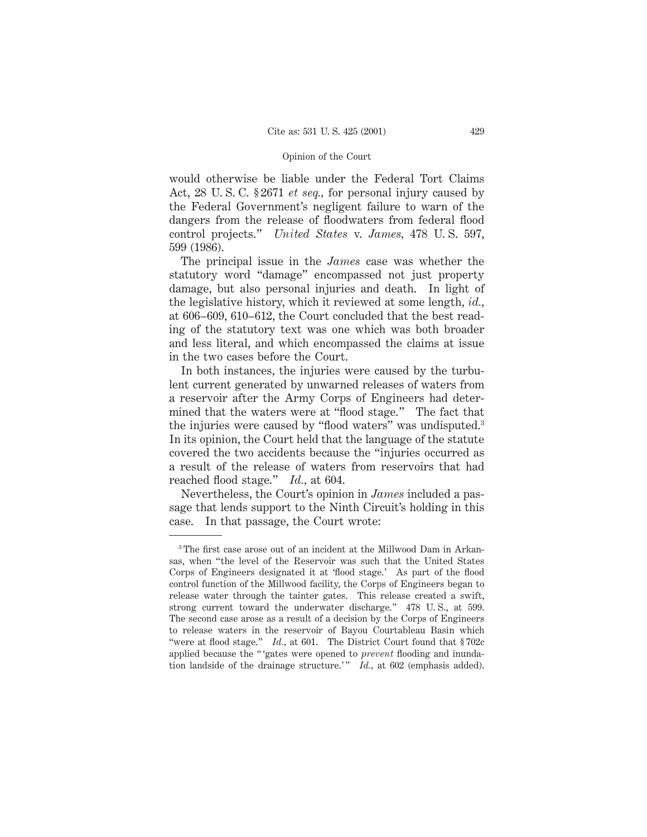would otherwise be liable under the Federal Tort Claims Act, 28 U. S. C. § 2671 *et seq.,* for personal injury caused by the Federal Government's negligent failure to warn of the dangers from the release of floodwaters from federal flood control projects." *United States* v. *James,* 478 U. S. 597, 599 (1986).

The principal issue in the *James* case was whether the statutory word "damage" encompassed not just property damage, but also personal injuries and death. In light of the legislative history, which it reviewed at some length, *id.,* at 606–609, 610–612, the Court concluded that the best reading of the statutory text was one which was both broader and less literal, and which encompassed the claims at issue in the two cases before the Court.

In both instances, the injuries were caused by the turbulent current generated by unwarned releases of waters from a reservoir after the Army Corps of Engineers had determined that the waters were at "flood stage." The fact that the injuries were caused by "flood waters" was undisputed.3 In its opinion, the Court held that the language of the statute covered the two accidents because the "injuries occurred as a result of the release of waters from reservoirs that had reached flood stage." *Id.,* at 604.

Nevertheless, the Court's opinion in *James* included a passage that lends support to the Ninth Circuit's holding in this case. In that passage, the Court wrote:

<sup>&</sup>lt;sup>3</sup> The first case arose out of an incident at the Millwood Dam in Arkansas, when "the level of the Reservoir was such that the United States Corps of Engineers designated it at 'flood stage.' As part of the flood control function of the Millwood facility, the Corps of Engineers began to release water through the tainter gates. This release created a swift, strong current toward the underwater discharge." 478 U. S., at 599. The second case arose as a result of a decision by the Corps of Engineers to release waters in the reservoir of Bayou Courtableau Basin which "were at flood stage." *Id.*, at 601. The District Court found that §702c applied because the " 'gates were opened to *prevent* flooding and inundation landside of the drainage structure.'" *Id.*, at 602 (emphasis added).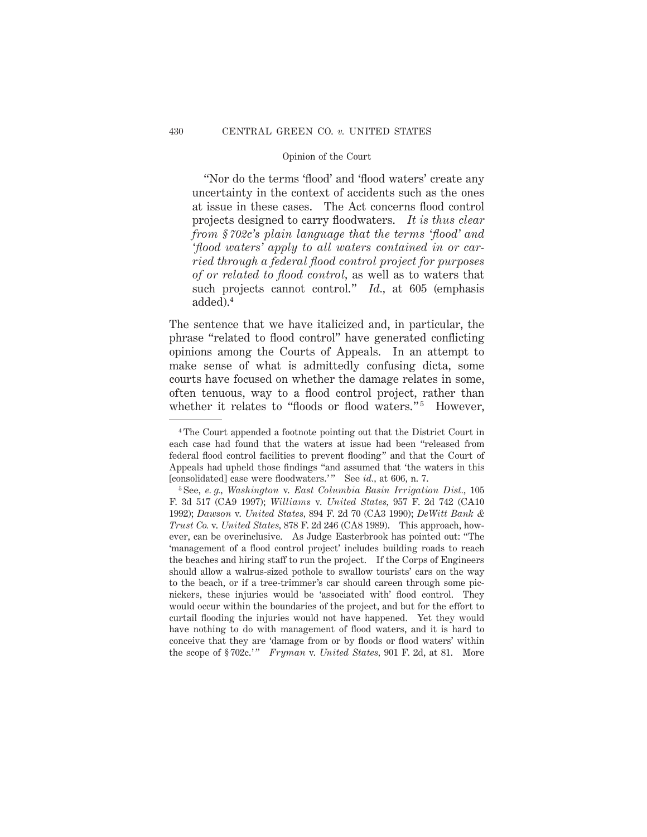"Nor do the terms 'flood' and 'flood waters' create any uncertainty in the context of accidents such as the ones at issue in these cases. The Act concerns flood control projects designed to carry floodwaters. *It is thus clear from § 702c's plain language that the terms 'flood' and 'flood waters' apply to all waters contained in or carried through a federal flood control project for purposes of or related to flood control,* as well as to waters that such projects cannot control." *Id.,* at 605 (emphasis added).4

The sentence that we have italicized and, in particular, the phrase "related to flood control" have generated conflicting opinions among the Courts of Appeals. In an attempt to make sense of what is admittedly confusing dicta, some courts have focused on whether the damage relates in some, often tenuous, way to a flood control project, rather than whether it relates to "floods or flood waters."<sup>5</sup> However,

<sup>4</sup> The Court appended a footnote pointing out that the District Court in each case had found that the waters at issue had been "released from federal flood control facilities to prevent flooding" and that the Court of Appeals had upheld those findings "and assumed that 'the waters in this [consolidated] case were floodwaters.'" See *id.*, at 606, n. 7.

<sup>5</sup> See, *e. g., Washington* v. *East Columbia Basin Irrigation Dist.,* 105 F. 3d 517 (CA9 1997); *Williams* v. *United States,* 957 F. 2d 742 (CA10 1992); *Dawson* v. *United States,* 894 F. 2d 70 (CA3 1990); *DeWitt Bank & Trust Co.* v. *United States,* 878 F. 2d 246 (CA8 1989). This approach, however, can be overinclusive. As Judge Easterbrook has pointed out: "The 'management of a flood control project' includes building roads to reach the beaches and hiring staff to run the project. If the Corps of Engineers should allow a walrus-sized pothole to swallow tourists' cars on the way to the beach, or if a tree-trimmer's car should careen through some picnickers, these injuries would be 'associated with' flood control. They would occur within the boundaries of the project, and but for the effort to curtail flooding the injuries would not have happened. Yet they would have nothing to do with management of flood waters, and it is hard to conceive that they are 'damage from or by floods or flood waters' within the scope of §702c.'" *Fryman* v. *United States*, 901 F. 2d, at 81. More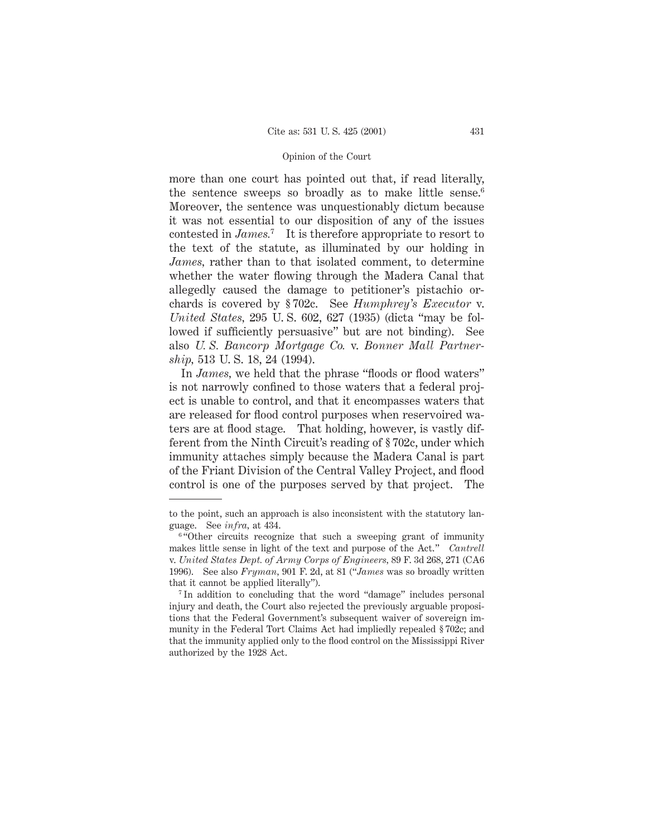more than one court has pointed out that, if read literally, the sentence sweeps so broadly as to make little sense.<sup>6</sup> Moreover, the sentence was unquestionably dictum because it was not essential to our disposition of any of the issues contested in *James.*<sup>7</sup> It is therefore appropriate to resort to the text of the statute, as illuminated by our holding in *James,* rather than to that isolated comment, to determine whether the water flowing through the Madera Canal that allegedly caused the damage to petitioner's pistachio orchards is covered by § 702c. See *Humphrey's Executor* v. *United States,* 295 U. S. 602, 627 (1935) (dicta "may be followed if sufficiently persuasive" but are not binding). See also *U. S. Bancorp Mortgage Co.* v. *Bonner Mall Partnership,* 513 U. S. 18, 24 (1994).

In *James*, we held that the phrase "floods or flood waters" is not narrowly confined to those waters that a federal project is unable to control, and that it encompasses waters that are released for flood control purposes when reservoired waters are at flood stage. That holding, however, is vastly different from the Ninth Circuit's reading of § 702c, under which immunity attaches simply because the Madera Canal is part of the Friant Division of the Central Valley Project, and flood control is one of the purposes served by that project. The

to the point, such an approach is also inconsistent with the statutory language. See *infra,* at 434.

<sup>&</sup>lt;sup>6</sup> "Other circuits recognize that such a sweeping grant of immunity makes little sense in light of the text and purpose of the Act." *Cantrell* v. *United States Dept. of Army Corps of Engineers,* 89 F. 3d 268, 271 (CA6 1996). See also *Fryman,* 901 F. 2d, at 81 ("*James* was so broadly written that it cannot be applied literally").

<sup>&</sup>lt;sup>7</sup> In addition to concluding that the word "damage" includes personal injury and death, the Court also rejected the previously arguable propositions that the Federal Government's subsequent waiver of sovereign immunity in the Federal Tort Claims Act had impliedly repealed § 702c; and that the immunity applied only to the flood control on the Mississippi River authorized by the 1928 Act.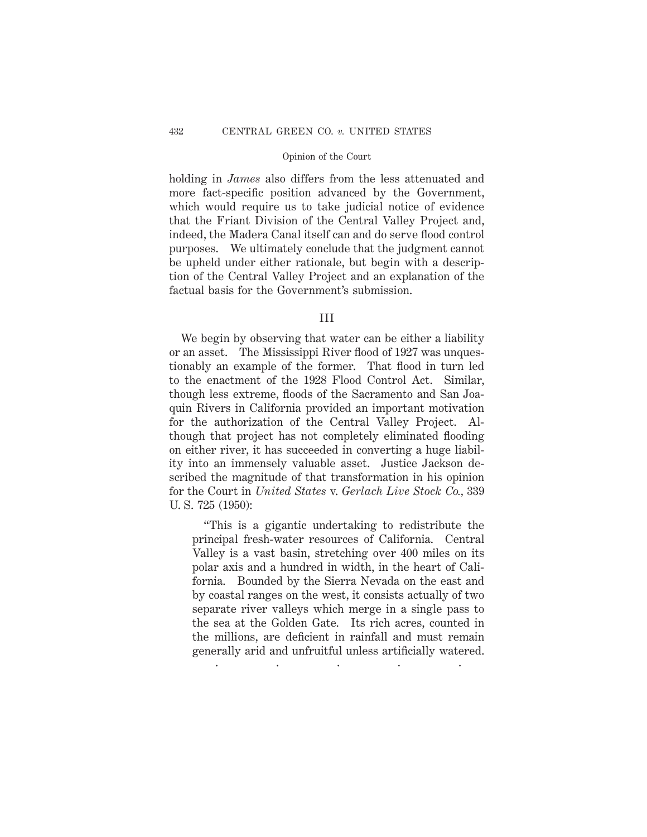holding in *James* also differs from the less attenuated and more fact-specific position advanced by the Government, which would require us to take judicial notice of evidence that the Friant Division of the Central Valley Project and, indeed, the Madera Canal itself can and do serve flood control purposes. We ultimately conclude that the judgment cannot be upheld under either rationale, but begin with a description of the Central Valley Project and an explanation of the factual basis for the Government's submission.

III

We begin by observing that water can be either a liability or an asset. The Mississippi River flood of 1927 was unquestionably an example of the former. That flood in turn led to the enactment of the 1928 Flood Control Act. Similar, though less extreme, floods of the Sacramento and San Joaquin Rivers in California provided an important motivation for the authorization of the Central Valley Project. Although that project has not completely eliminated flooding on either river, it has succeeded in converting a huge liability into an immensely valuable asset. Justice Jackson described the magnitude of that transformation in his opinion for the Court in *United States* v. *Gerlach Live Stock Co.,* 339 U. S. 725 (1950):

"This is a gigantic undertaking to redistribute the principal fresh-water resources of California. Central Valley is a vast basin, stretching over 400 miles on its polar axis and a hundred in width, in the heart of California. Bounded by the Sierra Nevada on the east and by coastal ranges on the west, it consists actually of two separate river valleys which merge in a single pass to the sea at the Golden Gate. Its rich acres, counted in the millions, are deficient in rainfall and must remain generally arid and unfruitful unless artificially watered. .....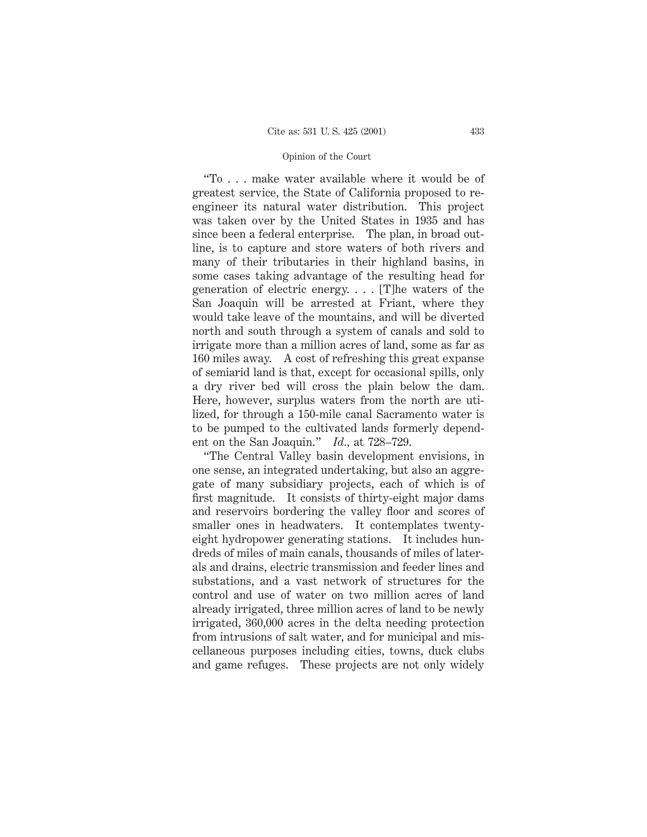"To . . . make water available where it would be of greatest service, the State of California proposed to reengineer its natural water distribution. This project was taken over by the United States in 1935 and has since been a federal enterprise. The plan, in broad outline, is to capture and store waters of both rivers and many of their tributaries in their highland basins, in some cases taking advantage of the resulting head for generation of electric energy. . . . [T]he waters of the San Joaquin will be arrested at Friant, where they would take leave of the mountains, and will be diverted north and south through a system of canals and sold to irrigate more than a million acres of land, some as far as 160 miles away. A cost of refreshing this great expanse of semiarid land is that, except for occasional spills, only a dry river bed will cross the plain below the dam. Here, however, surplus waters from the north are utilized, for through a 150-mile canal Sacramento water is to be pumped to the cultivated lands formerly dependent on the San Joaquin." *Id.,* at 728–729.

"The Central Valley basin development envisions, in one sense, an integrated undertaking, but also an aggregate of many subsidiary projects, each of which is of first magnitude. It consists of thirty-eight major dams and reservoirs bordering the valley floor and scores of smaller ones in headwaters. It contemplates twentyeight hydropower generating stations. It includes hundreds of miles of main canals, thousands of miles of laterals and drains, electric transmission and feeder lines and substations, and a vast network of structures for the control and use of water on two million acres of land already irrigated, three million acres of land to be newly irrigated, 360,000 acres in the delta needing protection from intrusions of salt water, and for municipal and miscellaneous purposes including cities, towns, duck clubs and game refuges. These projects are not only widely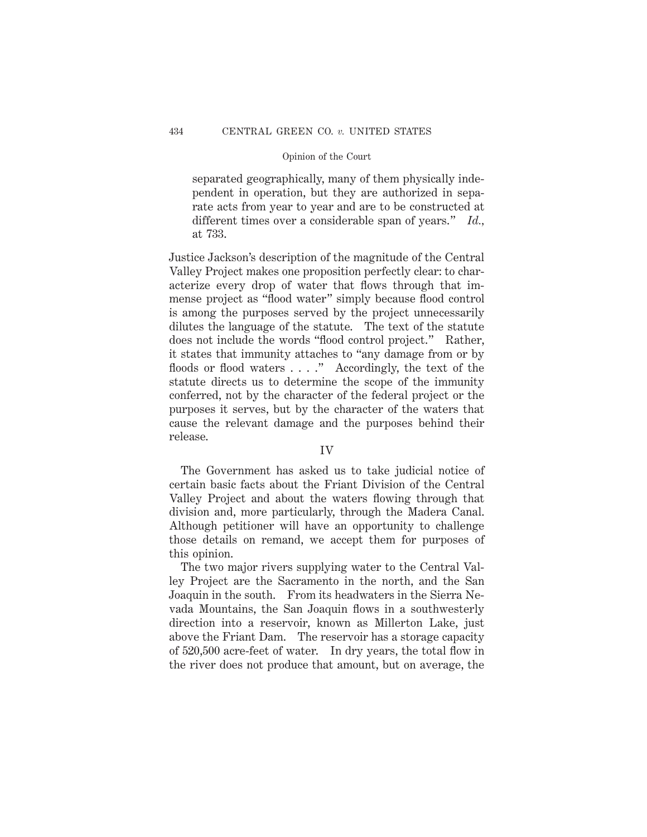separated geographically, many of them physically independent in operation, but they are authorized in separate acts from year to year and are to be constructed at different times over a considerable span of years." *Id.,* at 733.

Justice Jackson's description of the magnitude of the Central Valley Project makes one proposition perfectly clear: to characterize every drop of water that flows through that immense project as "flood water" simply because flood control is among the purposes served by the project unnecessarily dilutes the language of the statute. The text of the statute does not include the words "flood control project." Rather, it states that immunity attaches to "any damage from or by floods or flood waters . . . ." Accordingly, the text of the statute directs us to determine the scope of the immunity conferred, not by the character of the federal project or the purposes it serves, but by the character of the waters that cause the relevant damage and the purposes behind their release.

# IV

The Government has asked us to take judicial notice of certain basic facts about the Friant Division of the Central Valley Project and about the waters flowing through that division and, more particularly, through the Madera Canal. Although petitioner will have an opportunity to challenge those details on remand, we accept them for purposes of this opinion.

The two major rivers supplying water to the Central Valley Project are the Sacramento in the north, and the San Joaquin in the south. From its headwaters in the Sierra Nevada Mountains, the San Joaquin flows in a southwesterly direction into a reservoir, known as Millerton Lake, just above the Friant Dam. The reservoir has a storage capacity of 520,500 acre-feet of water. In dry years, the total flow in the river does not produce that amount, but on average, the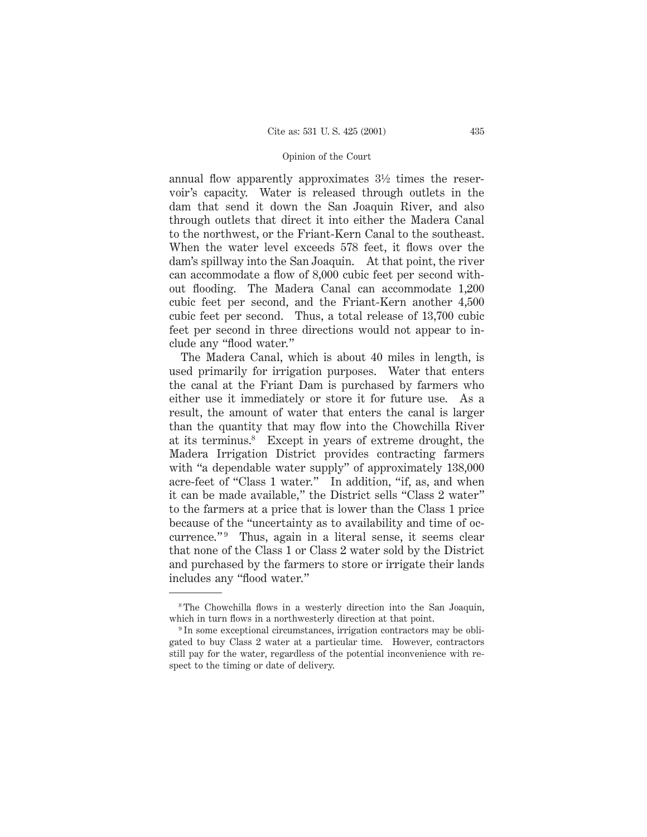annual flow apparently approximates 31⁄2 times the reservoir's capacity. Water is released through outlets in the dam that send it down the San Joaquin River, and also through outlets that direct it into either the Madera Canal to the northwest, or the Friant-Kern Canal to the southeast. When the water level exceeds 578 feet, it flows over the dam's spillway into the San Joaquin. At that point, the river can accommodate a flow of 8,000 cubic feet per second without flooding. The Madera Canal can accommodate 1,200 cubic feet per second, and the Friant-Kern another 4,500 cubic feet per second. Thus, a total release of 13,700 cubic feet per second in three directions would not appear to include any "flood water."

The Madera Canal, which is about 40 miles in length, is used primarily for irrigation purposes. Water that enters the canal at the Friant Dam is purchased by farmers who either use it immediately or store it for future use. As a result, the amount of water that enters the canal is larger than the quantity that may flow into the Chowchilla River at its terminus.8 Except in years of extreme drought, the Madera Irrigation District provides contracting farmers with "a dependable water supply" of approximately 138,000 acre-feet of "Class 1 water." In addition, "if, as, and when it can be made available," the District sells "Class 2 water" to the farmers at a price that is lower than the Class 1 price because of the "uncertainty as to availability and time of occurrence."<sup>9</sup> Thus, again in a literal sense, it seems clear that none of the Class 1 or Class 2 water sold by the District and purchased by the farmers to store or irrigate their lands includes any "flood water."

<sup>&</sup>lt;sup>8</sup>The Chowchilla flows in a westerly direction into the San Joaquin, which in turn flows in a northwesterly direction at that point.

<sup>&</sup>lt;sup>9</sup> In some exceptional circumstances, irrigation contractors may be obligated to buy Class 2 water at a particular time. However, contractors still pay for the water, regardless of the potential inconvenience with respect to the timing or date of delivery.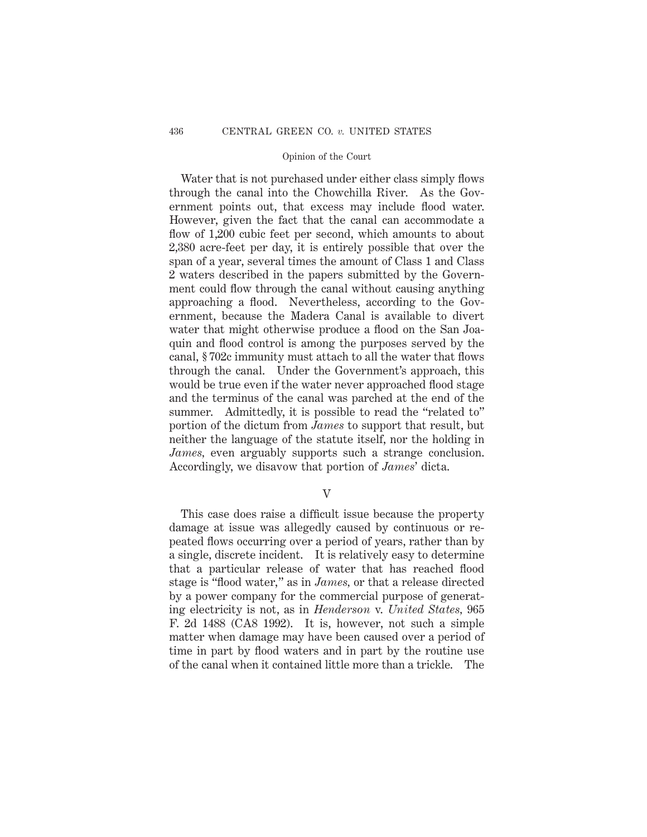Water that is not purchased under either class simply flows through the canal into the Chowchilla River. As the Government points out, that excess may include flood water. However, given the fact that the canal can accommodate a flow of 1,200 cubic feet per second, which amounts to about 2,380 acre-feet per day, it is entirely possible that over the span of a year, several times the amount of Class 1 and Class 2 waters described in the papers submitted by the Government could flow through the canal without causing anything approaching a flood. Nevertheless, according to the Government, because the Madera Canal is available to divert water that might otherwise produce a flood on the San Joaquin and flood control is among the purposes served by the canal, § 702c immunity must attach to all the water that flows through the canal. Under the Government's approach, this would be true even if the water never approached flood stage and the terminus of the canal was parched at the end of the summer. Admittedly, it is possible to read the "related to" portion of the dictum from *James* to support that result, but neither the language of the statute itself, nor the holding in *James,* even arguably supports such a strange conclusion. Accordingly, we disavow that portion of *James*' dicta.

V

This case does raise a difficult issue because the property damage at issue was allegedly caused by continuous or repeated flows occurring over a period of years, rather than by a single, discrete incident. It is relatively easy to determine that a particular release of water that has reached flood stage is "flood water," as in *James,* or that a release directed by a power company for the commercial purpose of generating electricity is not, as in *Henderson* v. *United States,* 965 F. 2d 1488 (CA8 1992). It is, however, not such a simple matter when damage may have been caused over a period of time in part by flood waters and in part by the routine use of the canal when it contained little more than a trickle. The